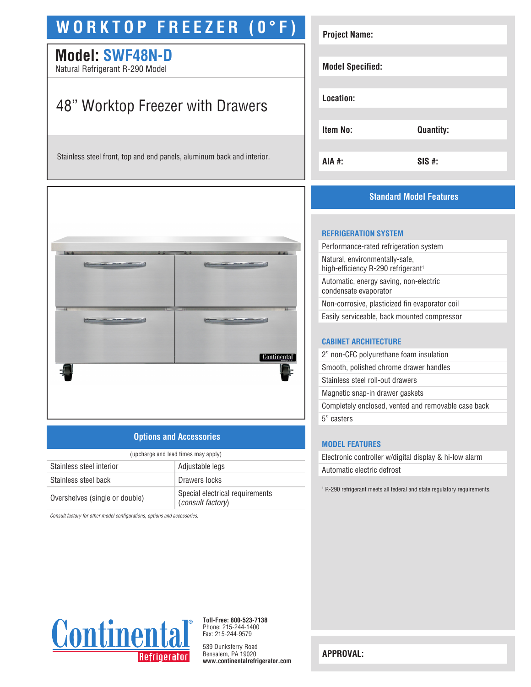# **WORKTOP FREEZER (0°F)**

# **Model: SWF48N-D**

Natural Refrigerant R-290 Model

# 48" Worktop Freezer with Drawers

Stainless steel front, top and end panels, aluminum back and interior.



# **Options and Accessories**

| (upcharge and lead times may apply) |                                                      |
|-------------------------------------|------------------------------------------------------|
| Stainless steel interior            | Adjustable legs                                      |
| Stainless steel back                | Drawers locks                                        |
| Overshelves (single or double)      | Special electrical requirements<br>(consult factory) |

*Consult factory for other model configurations, options and accessories.*

| <b>Project Name:</b>    |                  |  |
|-------------------------|------------------|--|
| <b>Model Specified:</b> |                  |  |
| Location:               |                  |  |
| Item No:                | <b>Quantity:</b> |  |
| AIA #:                  | $SIS$ #:         |  |

# **Standard Model Features**

#### **REFRIGERATION SYSTEM**

| Performance-rated refrigeration system                                           |
|----------------------------------------------------------------------------------|
| Natural, environmentally-safe,<br>high-efficiency R-290 refrigerant <sup>1</sup> |
| Automatic, energy saving, non-electric<br>condensate evaporator                  |
| Non-corrosive, plasticized fin evaporator coil                                   |
| Easily serviceable, back mounted compressor                                      |
|                                                                                  |

### **CABINET ARCHITECTURE**

| 2" non-CFC polyurethane foam insulation             |  |
|-----------------------------------------------------|--|
| Smooth, polished chrome drawer handles              |  |
| Stainless steel roll-out drawers                    |  |
| Magnetic snap-in drawer gaskets                     |  |
| Completely enclosed, vented and removable case back |  |
| 5" casters                                          |  |
|                                                     |  |

## **MODEL FEATURES**

Electronic controller w/digital display & hi-low alarm Automatic electric defrost

1 R-290 refrigerant meets all federal and state regulatory requirements.



**Toll-Free: 800-523-7138** Phone: 215-244-1400 Fax: 215-244-9579

539 Dunksferry Road Bensalem, PA 19020 **www.continentalrefrigerator.com** 

**APPROVAL:**